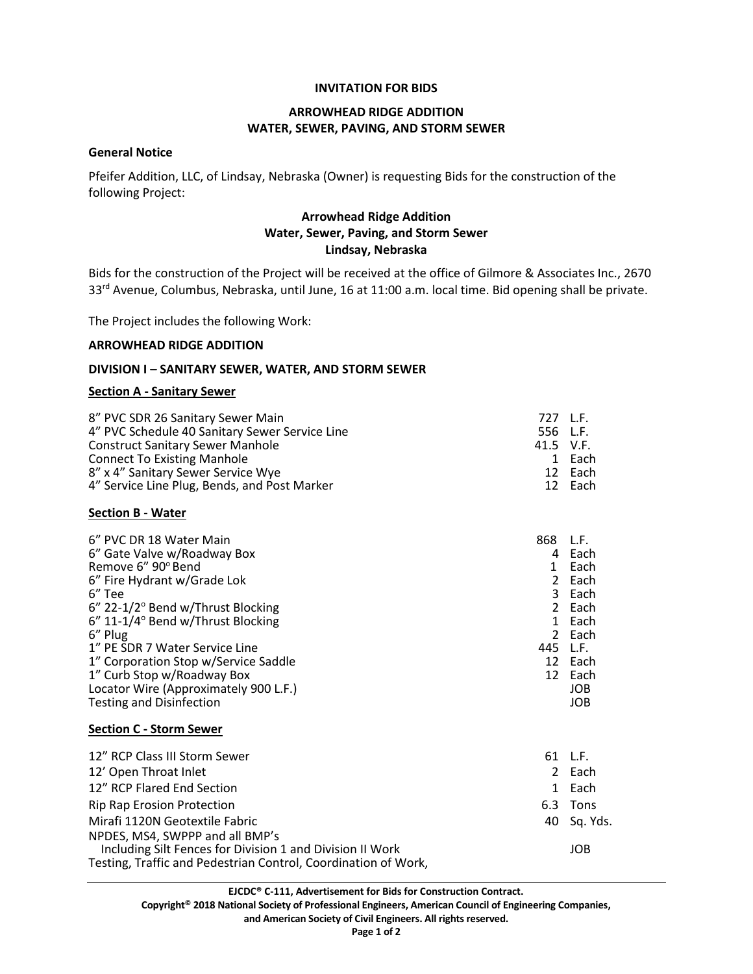#### **INVITATION FOR BIDS**

# **ARROWHEAD RIDGE ADDITION WATER, SEWER, PAVING, AND STORM SEWER**

### **General Notice**

Pfeifer Addition, LLC, of Lindsay, Nebraska (Owner) is requesting Bids for the construction of the following Project:

# **Arrowhead Ridge Addition Water, Sewer, Paving, and Storm Sewer Lindsay, Nebraska**

Bids for the construction of the Project will be received at the office of Gilmore & Associates Inc., 2670 33<sup>rd</sup> Avenue, Columbus, Nebraska, until June, 16 at 11:00 a.m. local time. Bid opening shall be private.

The Project includes the following Work:

### **ARROWHEAD RIDGE ADDITION**

#### **DIVISION I – SANITARY SEWER, WATER, AND STORM SEWER**

#### **Section A - Sanitary Sewer**

| 8" PVC SDR 26 Sanitary Sewer Main<br>4" PVC Schedule 40 Sanitary Sewer Service Line                                 | 727 L.F.<br>556 L.F. |                   |
|---------------------------------------------------------------------------------------------------------------------|----------------------|-------------------|
| <b>Construct Sanitary Sewer Manhole</b><br><b>Connect To Existing Manhole</b><br>8" x 4" Sanitary Sewer Service Wye | 41.5 V.F.            | 1 Each<br>12 Each |
| 4" Service Line Plug, Bends, and Post Marker                                                                        |                      | 12 Each           |

#### **Section B - Water**

| 6" PVC DR 18 Water Main<br>6" Gate Valve w/Roadway Box<br>Remove 6" 90° Bend<br>6" Fire Hydrant w/Grade Lok<br>6" Tee | 868<br>4<br>2<br>3. | L.F.<br>Each<br>Each<br>Each<br>Each |
|-----------------------------------------------------------------------------------------------------------------------|---------------------|--------------------------------------|
|                                                                                                                       |                     |                                      |
|                                                                                                                       |                     |                                      |
| $6''$ 22-1/2 $^{\circ}$ Bend w/Thrust Blocking                                                                        | 2                   | Each                                 |
| $6''$ 11-1/4 $\circ$ Bend w/Thrust Blocking                                                                           | 1.                  | Each                                 |
| 6" Plug                                                                                                               |                     | 2 Each                               |
| 1" PE SDR 7 Water Service Line                                                                                        | 445                 | L.F.                                 |
| 1" Corporation Stop w/Service Saddle                                                                                  | 12                  | Each                                 |
| 1" Curb Stop w/Roadway Box                                                                                            | 12                  | Each                                 |
| Locator Wire (Approximately 900 L.F.)                                                                                 |                     | <b>JOB</b>                           |
| <b>Testing and Disinfection</b>                                                                                       |                     | JOB.                                 |

#### **Section C - Storm Sewer**

| 12" RCP Class III Storm Sewer                                  | 61 L.F.     |
|----------------------------------------------------------------|-------------|
| 12' Open Throat Inlet                                          | 2 Each      |
| 12" RCP Flared End Section                                     | 1 Each      |
| <b>Rip Rap Erosion Protection</b>                              | 6.3 Tons    |
| Mirafi 1120N Geotextile Fabric                                 | 40 Sq. Yds. |
| NPDES, MS4, SWPPP and all BMP's                                |             |
| Including Silt Fences for Division 1 and Division II Work      | <b>JOB</b>  |
| Testing, Traffic and Pedestrian Control, Coordination of Work, |             |